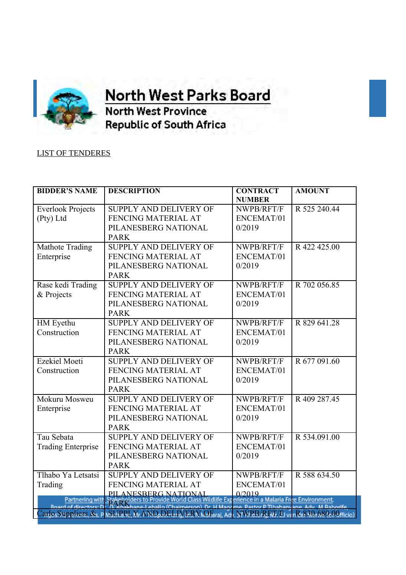

**OFFICE OF THE orth West Parks Board** 

**North West Province Republic of South Africa** 

## LIST OF TENDERES

| <b>BIDDER'S NAME</b>      | <b>DESCRIPTION</b>                                                                                                                                                                                                         | <b>CONTRACT</b><br><b>NUMBER</b> | <b>AMOUNT</b> |
|---------------------------|----------------------------------------------------------------------------------------------------------------------------------------------------------------------------------------------------------------------------|----------------------------------|---------------|
| <b>Everlook Projects</b>  | <b>SUPPLY AND DELIVERY OF</b>                                                                                                                                                                                              | NWPB/RFT/F                       | R 525 240.44  |
| (Pty) Ltd                 | FENCING MATERIAL AT                                                                                                                                                                                                        | ENCEMAT/01                       |               |
|                           | PILANESBERG NATIONAL                                                                                                                                                                                                       | 0/2019                           |               |
|                           | <b>PARK</b>                                                                                                                                                                                                                |                                  |               |
| Mathote Trading           | <b>SUPPLY AND DELIVERY OF</b>                                                                                                                                                                                              | NWPB/RFT/F                       | R422425.00    |
| Enterprise                | FENCING MATERIAL AT                                                                                                                                                                                                        | ENCEMAT/01                       |               |
|                           | PILANESBERG NATIONAL                                                                                                                                                                                                       | 0/2019                           |               |
|                           | <b>PARK</b>                                                                                                                                                                                                                |                                  |               |
| Rase kedi Trading         | <b>SUPPLY AND DELIVERY OF</b>                                                                                                                                                                                              | NWPB/RFT/F                       | R 702 056.85  |
| & Projects                | FENCING MATERIAL AT                                                                                                                                                                                                        | ENCEMAT/01                       |               |
|                           | PILANESBERG NATIONAL                                                                                                                                                                                                       | 0/2019                           |               |
|                           | <b>PARK</b>                                                                                                                                                                                                                |                                  |               |
| HM Eyethu                 | SUPPLY AND DELIVERY OF                                                                                                                                                                                                     | NWPB/RFT/F                       | R 829 641.28  |
| Construction              | FENCING MATERIAL AT                                                                                                                                                                                                        | ENCEMAT/01                       |               |
|                           | PILANESBERG NATIONAL                                                                                                                                                                                                       | 0/2019                           |               |
|                           | <b>PARK</b>                                                                                                                                                                                                                |                                  |               |
| <b>Ezekiel Moeti</b>      | <b>SUPPLY AND DELIVERY OF</b>                                                                                                                                                                                              | NWPB/RFT/F                       | R 677 091.60  |
| Construction              | FENCING MATERIAL AT                                                                                                                                                                                                        | ENCEMAT/01                       |               |
|                           | PILANESBERG NATIONAL                                                                                                                                                                                                       | 0/2019                           |               |
|                           | <b>PARK</b>                                                                                                                                                                                                                |                                  |               |
| Mokuru Mosweu             | SUPPLY AND DELIVERY OF                                                                                                                                                                                                     | NWPB/RFT/F                       | R 409 287.45  |
| Enterprise                | FENCING MATERIAL AT                                                                                                                                                                                                        | ENCEMAT/01                       |               |
|                           | PILANESBERG NATIONAL                                                                                                                                                                                                       | 0/2019                           |               |
|                           | <b>PARK</b>                                                                                                                                                                                                                |                                  |               |
| Tau Sebata                | <b>SUPPLY AND DELIVERY OF</b>                                                                                                                                                                                              | NWPB/RFT/F                       | R 534.091.00  |
| <b>Trading Enterprise</b> | FENCING MATERIAL AT                                                                                                                                                                                                        | ENCEMAT/01                       |               |
|                           | PILANESBERG NATIONAL                                                                                                                                                                                                       | 0/2019                           |               |
|                           | <b>PARK</b>                                                                                                                                                                                                                |                                  |               |
| Tlhabo Ya Letsatsi        | SUPPLY AND DELIVERY OF                                                                                                                                                                                                     | NWPB/RFT/F                       | R 588 634.50  |
| Trading                   | FENCING MATERIAL AT                                                                                                                                                                                                        | ENCEMAT/01                       |               |
|                           | PILANESBERG NATIONAL                                                                                                                                                                                                       | 0/2019                           |               |
|                           | Partnering with Stakeholders to Provide World Class Wildlife Experience in a Malaria Free Environment.<br>Board of directors: Dr. TE Khakhane-Leballo (Chairperson), Dr. H Maggime, Pastor P Tlhabanyane, Adv. M Raborife, |                                  |               |
|                           | CarlosSuppliers. & PASUBRL M. AND DELIVERY OF THE NWRB/RET/E v1nRe830.680.00 mcio)                                                                                                                                         |                                  |               |